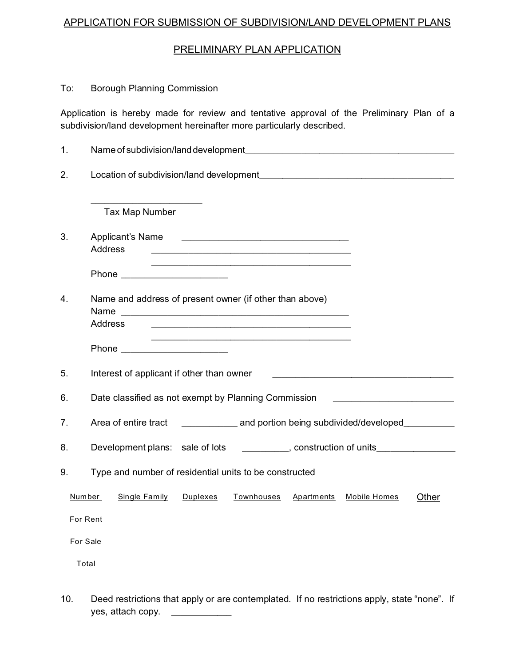## APPLICATION FOR SUBMISSION OF SUBDIVISION/LAND DEVELOPMENT PLANS

## PRELIMINARY PLAN APPLICATION

## To: Borough Planning Commission

Application is hereby made for review and tentative approval of the Preliminary Plan of a subdivision/land development hereinafter more particularly described.

| 1.       |                                                                                                                                                                                                                                                                                                                                           |
|----------|-------------------------------------------------------------------------------------------------------------------------------------------------------------------------------------------------------------------------------------------------------------------------------------------------------------------------------------------|
| 2.       |                                                                                                                                                                                                                                                                                                                                           |
|          | Tax Map Number                                                                                                                                                                                                                                                                                                                            |
| 3.       | Applicant's Name<br><u> 1989 - Johann Harry Harry Harry Harry Harry Harry Harry Harry Harry Harry Harry Harry Harry Harry Harry Harry Harry Harry Harry Harry Harry Harry Harry Harry Harry Harry Harry Harry Harry Harry Harry Harry Harry Harry Ha</u><br>Address<br><u> 2000 - Jan Samuel Barbara, margaret eta idazlea (h. 1878).</u> |
|          | <u> 2000 - Jan James James Jan James James James James James James James James James James James James James Jam</u><br>Phone ________________________                                                                                                                                                                                    |
| 4.       | Name and address of present owner (if other than above)<br>Name<br>Address                                                                                                                                                                                                                                                                |
|          |                                                                                                                                                                                                                                                                                                                                           |
| 5.       | Interest of applicant if other than owner                                                                                                                                                                                                                                                                                                 |
| 6.       | Date classified as not exempt by Planning Commission                                                                                                                                                                                                                                                                                      |
| 7.       | Area of entire tract<br>and portion being subdivided/developed__________                                                                                                                                                                                                                                                                  |
| 8.       | Development plans: sale of lots _________, construction of units_______________                                                                                                                                                                                                                                                           |
| 9.       | Type and number of residential units to be constructed                                                                                                                                                                                                                                                                                    |
|          | Number<br>Single Family<br>Duplexes<br>Townhouses<br>Apartments<br>Mobile Homes<br>Other                                                                                                                                                                                                                                                  |
|          | For Rent                                                                                                                                                                                                                                                                                                                                  |
| For Sale |                                                                                                                                                                                                                                                                                                                                           |
| Total    |                                                                                                                                                                                                                                                                                                                                           |
|          |                                                                                                                                                                                                                                                                                                                                           |

10. Deed restrictions that apply or are contemplated. If no restrictions apply, state "none". If yes, attach copy. \_\_